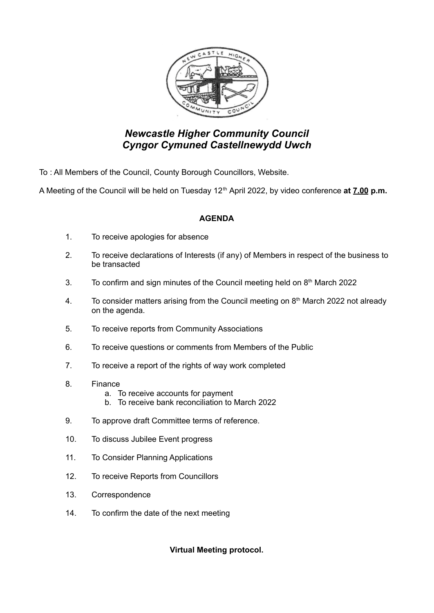

## *Newcastle Higher Community Council Cyngor Cymuned Castellnewydd Uwch*

To : All Members of the Council, County Borough Councillors, Website.

A Meeting of the Council will be held on Tuesday 12<sup>th</sup> April 2022, by video conference at **7.00 p.m.** 

## **AGENDA**

- 1. To receive apologies for absence
- 2. To receive declarations of Interests (if any) of Members in respect of the business to be transacted
- 3. To confirm and sign minutes of the Council meeting held on  $8<sup>th</sup>$  March 2022
- 4. To consider matters arising from the Council meeting on  $8<sup>th</sup>$  March 2022 not already on the agenda.
- 5. To receive reports from Community Associations
- 6. To receive questions or comments from Members of the Public
- 7. To receive a report of the rights of way work completed
- 8. Finance
	- a. To receive accounts for payment
	- b. To receive bank reconciliation to March 2022
- 9. To approve draft Committee terms of reference.
- 10. To discuss Jubilee Event progress
- 11. To Consider Planning Applications
- 12. To receive Reports from Councillors
- 13. Correspondence
- 14. To confirm the date of the next meeting

**Virtual Meeting protocol.**